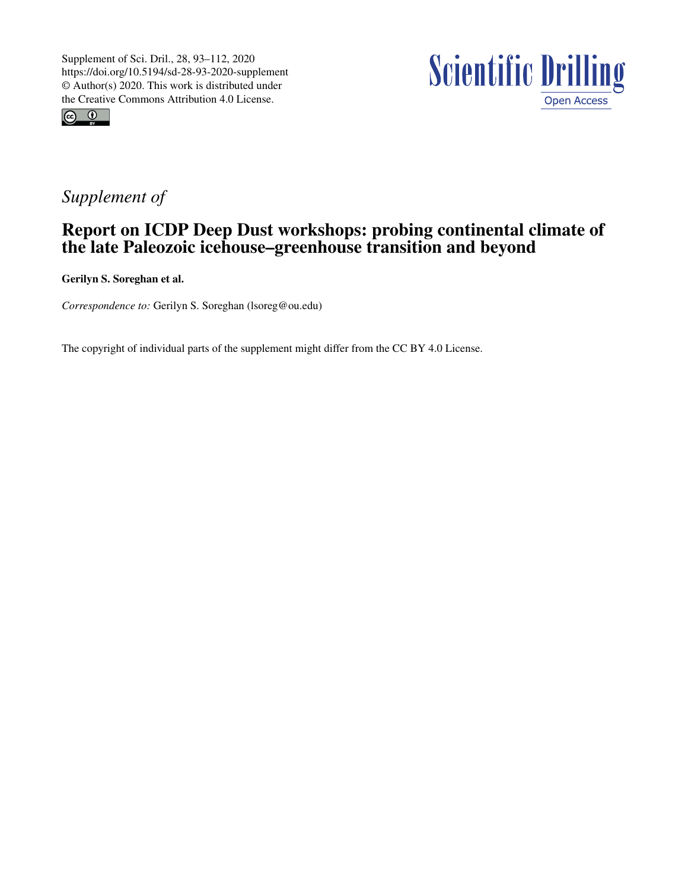



## *Supplement of*

## Report on ICDP Deep Dust workshops: probing continental climate of the late Paleozoic icehouse–greenhouse transition and beyond

Gerilyn S. Soreghan et al.

*Correspondence to:* Gerilyn S. Soreghan (lsoreg@ou.edu)

The copyright of individual parts of the supplement might differ from the CC BY 4.0 License.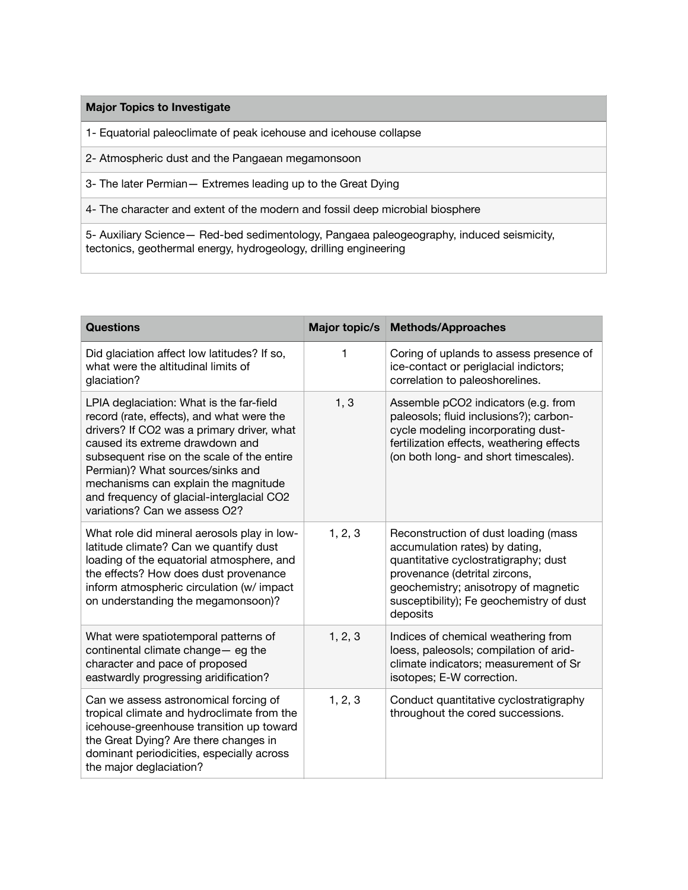## **Major Topics to Investigate**

1- Equatorial paleoclimate of peak icehouse and icehouse collapse

2- Atmospheric dust and the Pangaean megamonsoon

3- The later Permian— Extremes leading up to the Great Dying

4- The character and extent of the modern and fossil deep microbial biosphere

5- Auxiliary Science— Red-bed sedimentology, Pangaea paleogeography, induced seismicity, tectonics, geothermal energy, hydrogeology, drilling engineering

| <b>Questions</b>                                                                                                                                                                                                                                                                                                                                                               | Major topic/s | <b>Methods/Approaches</b>                                                                                                                                                                                                                       |
|--------------------------------------------------------------------------------------------------------------------------------------------------------------------------------------------------------------------------------------------------------------------------------------------------------------------------------------------------------------------------------|---------------|-------------------------------------------------------------------------------------------------------------------------------------------------------------------------------------------------------------------------------------------------|
| Did glaciation affect low latitudes? If so,<br>what were the altitudinal limits of<br>glaciation?                                                                                                                                                                                                                                                                              | 1             | Coring of uplands to assess presence of<br>ice-contact or periglacial indictors;<br>correlation to paleoshorelines.                                                                                                                             |
| LPIA deglaciation: What is the far-field<br>record (rate, effects), and what were the<br>drivers? If CO2 was a primary driver, what<br>caused its extreme drawdown and<br>subsequent rise on the scale of the entire<br>Permian)? What sources/sinks and<br>mechanisms can explain the magnitude<br>and frequency of glacial-interglacial CO2<br>variations? Can we assess O2? | 1, 3          | Assemble pCO2 indicators (e.g. from<br>paleosols; fluid inclusions?); carbon-<br>cycle modeling incorporating dust-<br>fertilization effects, weathering effects<br>(on both long- and short timescales).                                       |
| What role did mineral aerosols play in low-<br>latitude climate? Can we quantify dust<br>loading of the equatorial atmosphere, and<br>the effects? How does dust provenance<br>inform atmospheric circulation (w/ impact<br>on understanding the megamonsoon)?                                                                                                                 | 1, 2, 3       | Reconstruction of dust loading (mass<br>accumulation rates) by dating,<br>quantitative cyclostratigraphy; dust<br>provenance (detrital zircons,<br>geochemistry; anisotropy of magnetic<br>susceptibility); Fe geochemistry of dust<br>deposits |
| What were spatiotemporal patterns of<br>continental climate change- eg the<br>character and pace of proposed<br>eastwardly progressing aridification?                                                                                                                                                                                                                          | 1, 2, 3       | Indices of chemical weathering from<br>loess, paleosols; compilation of arid-<br>climate indicators; measurement of Sr<br>isotopes; E-W correction.                                                                                             |
| Can we assess astronomical forcing of<br>tropical climate and hydroclimate from the<br>icehouse-greenhouse transition up toward<br>the Great Dying? Are there changes in<br>dominant periodicities, especially across<br>the major deglaciation?                                                                                                                               | 1, 2, 3       | Conduct quantitative cyclostratigraphy<br>throughout the cored successions.                                                                                                                                                                     |